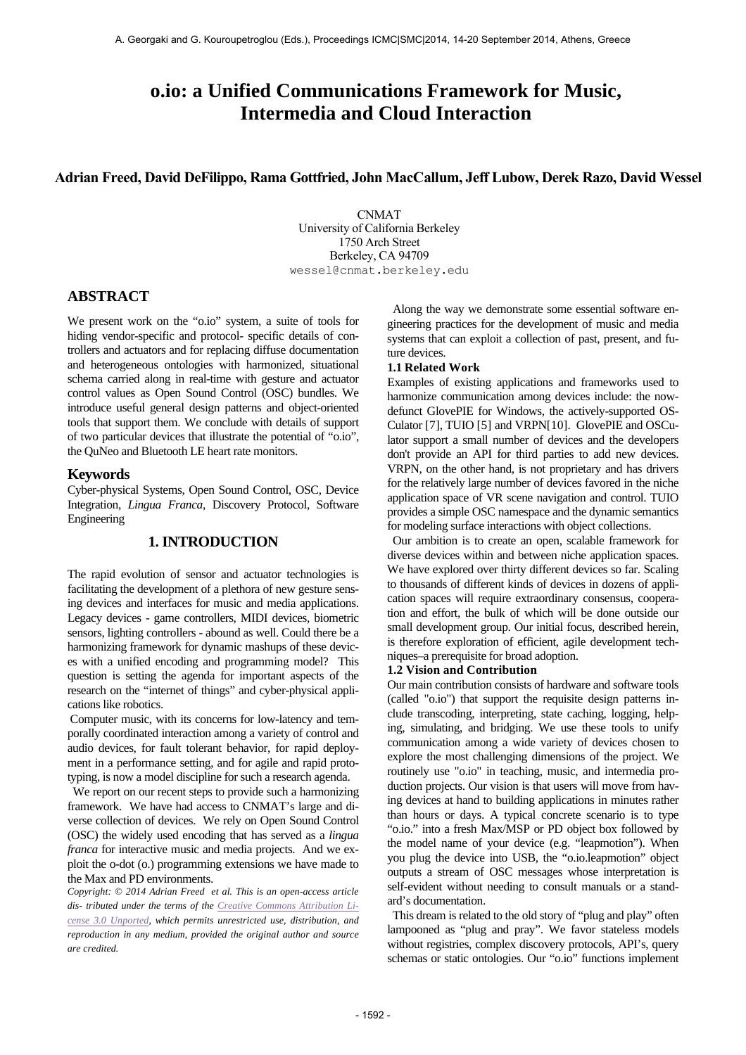# **o.io: a Unified Communications Framework for Music, Intermedia and Cloud Interaction**

# **Adrian Freed, David DeFilippo, Rama Gottfried, John MacCallum, Jeff Lubow, Derek Razo, David Wessel**

CNMAT University of California Berkeley 1750 Arch Street Berkeley, CA 94709 wessel@cnmat.berkeley.edu

# **ABSTRACT**

We present work on the "o.io" system, a suite of tools for hiding vendor-specific and protocol- specific details of controllers and actuators and for replacing diffuse documentation and heterogeneous ontologies with harmonized, situational schema carried along in real-time with gesture and actuator control values as Open Sound Control (OSC) bundles. We introduce useful general design patterns and object-oriented tools that support them. We conclude with details of support of two particular devices that illustrate the potential of "o.io", the QuNeo and Bluetooth LE heart rate monitors.

# **Keywords**

Cyber-physical Systems, Open Sound Control, OSC, Device Integration, *Lingua Franca*, Discovery Protocol, Software Engineering

# **1. INTRODUCTION**

The rapid evolution of sensor and actuator technologies is facilitating the development of a plethora of new gesture sensing devices and interfaces for music and media applications. Legacy devices - game controllers, MIDI devices, biometric sensors, lighting controllers - abound as well. Could there be a harmonizing framework for dynamic mashups of these devices with a unified encoding and programming model? This question is setting the agenda for important aspects of the research on the "internet of things" and cyber-physical applications like robotics.

Computer music, with its concerns for low-latency and temporally coordinated interaction among a variety of control and audio devices, for fault tolerant behavior, for rapid deployment in a performance setting, and for agile and rapid prototyping, is now a model discipline for such a research agenda.

 We report on our recent steps to provide such a harmonizing framework. We have had access to CNMAT's large and diverse collection of devices. We rely on Open Sound Control (OSC) the widely used encoding that has served as a *lingua franca* for interactive music and media projects. And we exploit the o-dot (o.) programming extensions we have made to the Max and PD environments.

*Copyright: © 2014 Adrian Freed et al. This is an open-access article dis- tributed under the terms of the Creative Commons Attribution License 3.0 Unported, which permits unrestricted use, distribution, and reproduction in any medium, provided the original author and source are credited.*

 Along the way we demonstrate some essential software engineering practices for the development of music and media systems that can exploit a collection of past, present, and future devices.

### **1.1 Related Work**

Examples of existing applications and frameworks used to harmonize communication among devices include: the nowdefunct GlovePIE for Windows, the actively-supported OS-Culator [7], TUIO [5] and VRPN[10]. GlovePIE and OSCulator support a small number of devices and the developers don't provide an API for third parties to add new devices. VRPN, on the other hand, is not proprietary and has drivers for the relatively large number of devices favored in the niche application space of VR scene navigation and control. TUIO provides a simple OSC namespace and the dynamic semantics for modeling surface interactions with object collections.

 Our ambition is to create an open, scalable framework for diverse devices within and between niche application spaces. We have explored over thirty different devices so far. Scaling to thousands of different kinds of devices in dozens of application spaces will require extraordinary consensus, cooperation and effort, the bulk of which will be done outside our small development group. Our initial focus, described herein, is therefore exploration of efficient, agile development techniques–a prerequisite for broad adoption.

#### **1.2 Vision and Contribution**

Our main contribution consists of hardware and software tools (called "o.io") that support the requisite design patterns include transcoding, interpreting, state caching, logging, helping, simulating, and bridging. We use these tools to unify communication among a wide variety of devices chosen to explore the most challenging dimensions of the project. We routinely use "o.io" in teaching, music, and intermedia production projects. Our vision is that users will move from having devices at hand to building applications in minutes rather than hours or days. A typical concrete scenario is to type "o.io." into a fresh Max/MSP or PD object box followed by the model name of your device (e.g. "leapmotion"). When you plug the device into USB, the "o.io.leapmotion" object outputs a stream of OSC messages whose interpretation is self-evident without needing to consult manuals or a standard's documentation.

 This dream is related to the old story of "plug and play" often lampooned as "plug and pray". We favor stateless models without registries, complex discovery protocols, API's, query schemas or static ontologies. Our "o.io" functions implement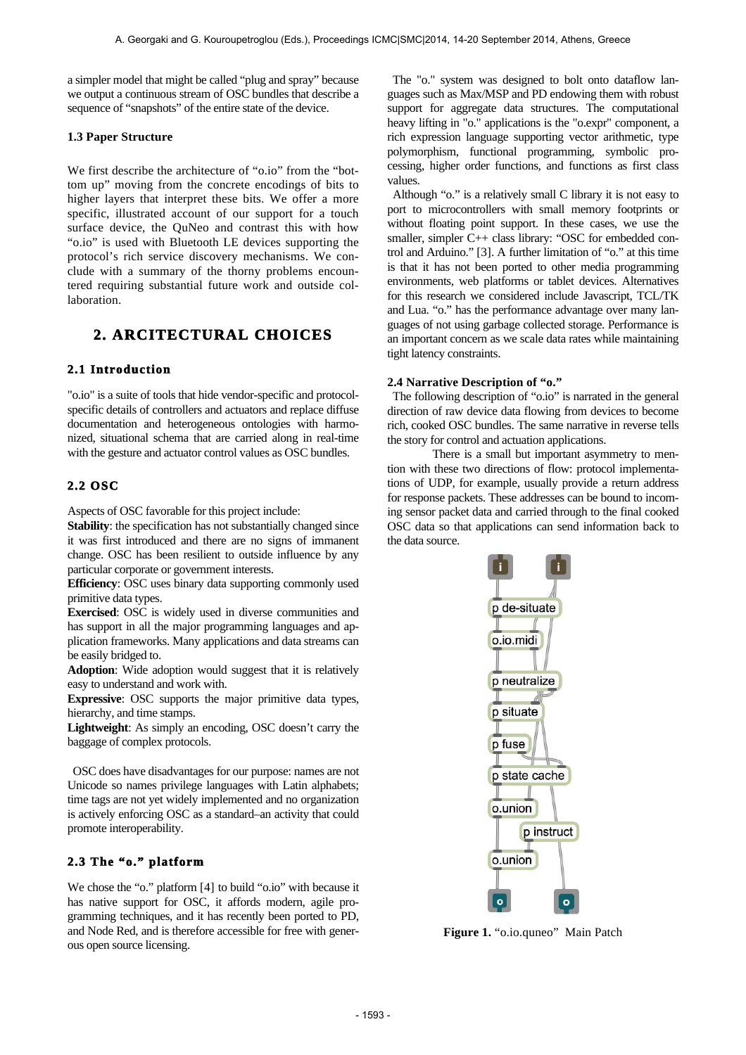a simpler model that might be called "plug and spray" because we output a continuous stream of OSC bundles that describe a sequence of "snapshots" of the entire state of the device.

#### **1.3 Paper Structure**

We first describe the architecture of "o.io" from the "bottom up" moving from the concrete encodings of bits to higher layers that interpret these bits. We offer a more specific, illustrated account of our support for a touch surface device, the QuNeo and contrast this with how "o.io" is used with Bluetooth LE devices supporting the protocol's rich service discovery mechanisms. We conclude with a summary of the thorny problems encountered requiring substantial future work and outside collaboration.

# **2. ARCITECTURAL CHOICES**

### **2.1 Introduction**

"o.io" is a suite of tools that hide vendor-specific and protocolspecific details of controllers and actuators and replace diffuse documentation and heterogeneous ontologies with harmonized, situational schema that are carried along in real-time with the gesture and actuator control values as OSC bundles.

### **2.2 OSC**

Aspects of OSC favorable for this project include:

**Stability**: the specification has not substantially changed since it was first introduced and there are no signs of immanent change. OSC has been resilient to outside influence by any particular corporate or government interests.

**Efficiency**: OSC uses binary data supporting commonly used primitive data types.

**Exercised**: OSC is widely used in diverse communities and has support in all the major programming languages and application frameworks. Many applications and data streams can be easily bridged to.

**Adoption**: Wide adoption would suggest that it is relatively easy to understand and work with.

**Expressive**: OSC supports the major primitive data types, hierarchy, and time stamps.

**Lightweight**: As simply an encoding, OSC doesn't carry the baggage of complex protocols.

 OSC does have disadvantages for our purpose: names are not Unicode so names privilege languages with Latin alphabets; time tags are not yet widely implemented and no organization is actively enforcing OSC as a standard–an activity that could promote interoperability.

# **2.3 The "o." platform**

We chose the "o." platform [4] to build "o.io" with because it has native support for OSC, it affords modern, agile programming techniques, and it has recently been ported to PD, and Node Red, and is therefore accessible for free with generous open source licensing.

 The "o." system was designed to bolt onto dataflow languages such as Max/MSP and PD endowing them with robust support for aggregate data structures. The computational heavy lifting in "o." applications is the "o.expr" component, a rich expression language supporting vector arithmetic, type polymorphism, functional programming, symbolic processing, higher order functions, and functions as first class values.

 Although "o." is a relatively small C library it is not easy to port to microcontrollers with small memory footprints or without floating point support. In these cases, we use the smaller, simpler C++ class library: "OSC for embedded control and Arduino." [3]. A further limitation of "o." at this time is that it has not been ported to other media programming environments, web platforms or tablet devices. Alternatives for this research we considered include Javascript, TCL/TK and Lua. "o." has the performance advantage over many languages of not using garbage collected storage. Performance is an important concern as we scale data rates while maintaining tight latency constraints.

#### **2.4 Narrative Description of "o."**

 The following description of "o.io" is narrated in the general direction of raw device data flowing from devices to become rich, cooked OSC bundles. The same narrative in reverse tells the story for control and actuation applications.

There is a small but important asymmetry to mention with these two directions of flow: protocol implementations of UDP, for example, usually provide a return address for response packets. These addresses can be bound to incoming sensor packet data and carried through to the final cooked OSC data so that applications can send information back to the data source.



**Figure 1.** "o.io.quneo" Main Patch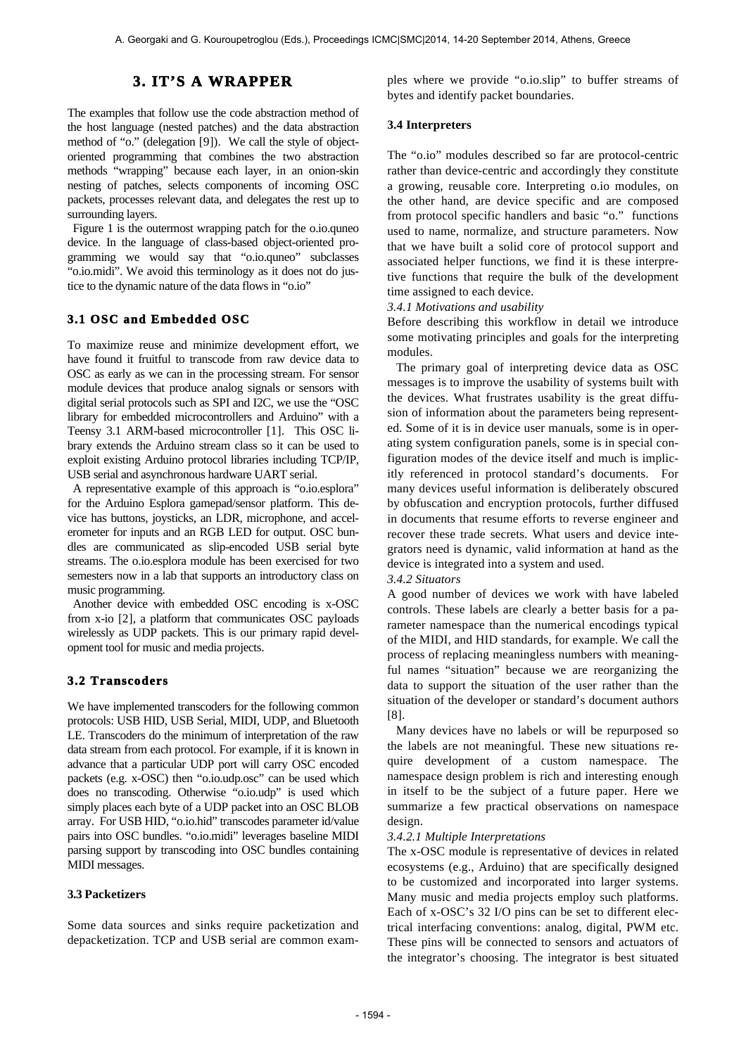# **3. IT'S A WRAPPER**

The examples that follow use the code abstraction method of the host language (nested patches) and the data abstraction method of "o." (delegation [9]). We call the style of objectoriented programming that combines the two abstraction methods "wrapping" because each layer, in an onion-skin nesting of patches, selects components of incoming OSC packets, processes relevant data, and delegates the rest up to surrounding layers.

 Figure 1 is the outermost wrapping patch for the o.io.quneo device. In the language of class-based object-oriented programming we would say that "o.io.quneo" subclasses "o.io.midi". We avoid this terminology as it does not do justice to the dynamic nature of the data flows in "o.io"

### **3.1 OSC and Embedded OSC**

To maximize reuse and minimize development effort, we have found it fruitful to transcode from raw device data to OSC as early as we can in the processing stream. For sensor module devices that produce analog signals or sensors with digital serial protocols such as SPI and I2C, we use the "OSC library for embedded microcontrollers and Arduino" with a Teensy 3.1 ARM-based microcontroller [1]. This OSC library extends the Arduino stream class so it can be used to exploit existing Arduino protocol libraries including TCP/IP, USB serial and asynchronous hardware UART serial.

 A representative example of this approach is "o.io.esplora" for the Arduino Esplora gamepad/sensor platform. This device has buttons, joysticks, an LDR, microphone, and accelerometer for inputs and an RGB LED for output. OSC bundles are communicated as slip-encoded USB serial byte streams. The o.io.esplora module has been exercised for two semesters now in a lab that supports an introductory class on music programming.

 Another device with embedded OSC encoding is x-OSC from x-io [2], a platform that communicates OSC payloads wirelessly as UDP packets. This is our primary rapid development tool for music and media projects.

### **3.2 Transcoders**

We have implemented transcoders for the following common protocols: USB HID, USB Serial, MIDI, UDP, and Bluetooth LE. Transcoders do the minimum of interpretation of the raw data stream from each protocol. For example, if it is known in advance that a particular UDP port will carry OSC encoded packets (e.g. x-OSC) then "o.io.udp.osc" can be used which does no transcoding. Otherwise "o.io.udp" is used which simply places each byte of a UDP packet into an OSC BLOB array. For USB HID, "o.io.hid" transcodes parameter id/value pairs into OSC bundles. "o.io.midi" leverages baseline MIDI parsing support by transcoding into OSC bundles containing MIDI messages.

#### **3.3 Packetizers**

Some data sources and sinks require packetization and depacketization. TCP and USB serial are common examples where we provide "o.io.slip" to buffer streams of bytes and identify packet boundaries.

#### **3.4 Interpreters**

The "o.io" modules described so far are protocol-centric rather than device-centric and accordingly they constitute a growing, reusable core. Interpreting o.io modules, on the other hand, are device specific and are composed from protocol specific handlers and basic "o." functions used to name, normalize, and structure parameters. Now that we have built a solid core of protocol support and associated helper functions, we find it is these interpretive functions that require the bulk of the development time assigned to each device.

*3.4.1 Motivations and usability*

Before describing this workflow in detail we introduce some motivating principles and goals for the interpreting modules.

The primary goal of interpreting device data as OSC messages is to improve the usability of systems built with the devices. What frustrates usability is the great diffusion of information about the parameters being represented. Some of it is in device user manuals, some is in operating system configuration panels, some is in special configuration modes of the device itself and much is implicitly referenced in protocol standard's documents. For many devices useful information is deliberately obscured by obfuscation and encryption protocols, further diffused in documents that resume efforts to reverse engineer and recover these trade secrets. What users and device integrators need is dynamic, valid information at hand as the device is integrated into a system and used.

#### *3.4.2 Situators*

A good number of devices we work with have labeled controls. These labels are clearly a better basis for a parameter namespace than the numerical encodings typical of the MIDI, and HID standards, for example. We call the process of replacing meaningless numbers with meaningful names "situation" because we are reorganizing the data to support the situation of the user rather than the situation of the developer or standard's document authors [8].

Many devices have no labels or will be repurposed so the labels are not meaningful. These new situations require development of a custom namespace. The namespace design problem is rich and interesting enough in itself to be the subject of a future paper. Here we summarize a few practical observations on namespace design.

#### *3.4.2.1 Multiple Interpretations*

The x-OSC module is representative of devices in related ecosystems (e.g., Arduino) that are specifically designed to be customized and incorporated into larger systems. Many music and media projects employ such platforms. Each of x-OSC's 32 I/O pins can be set to different electrical interfacing conventions: analog, digital, PWM etc. These pins will be connected to sensors and actuators of the integrator's choosing. The integrator is best situated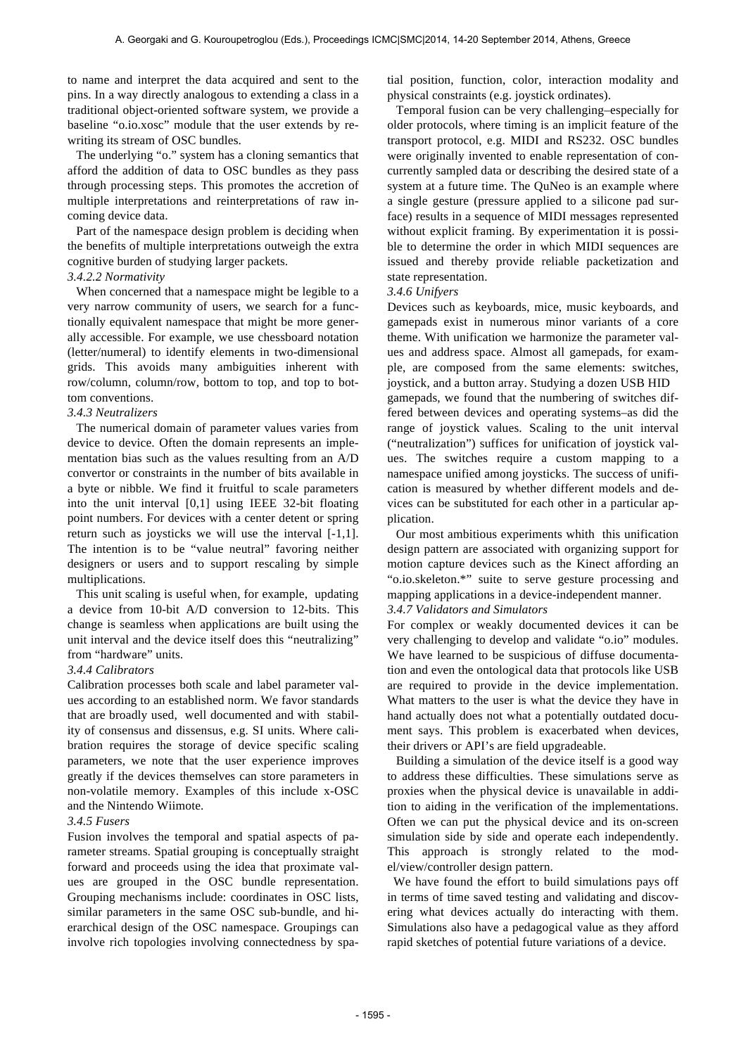to name and interpret the data acquired and sent to the pins. In a way directly analogous to extending a class in a traditional object-oriented software system, we provide a baseline "o.io.xosc" module that the user extends by rewriting its stream of OSC bundles.

The underlying "o." system has a cloning semantics that afford the addition of data to OSC bundles as they pass through processing steps. This promotes the accretion of multiple interpretations and reinterpretations of raw incoming device data.

Part of the namespace design problem is deciding when the benefits of multiple interpretations outweigh the extra cognitive burden of studying larger packets.

#### *3.4.2.2 Normativity*

When concerned that a namespace might be legible to a very narrow community of users, we search for a functionally equivalent namespace that might be more generally accessible. For example, we use chessboard notation (letter/numeral) to identify elements in two-dimensional grids. This avoids many ambiguities inherent with row/column, column/row, bottom to top, and top to bottom conventions.

#### *3.4.3 Neutralizers*

The numerical domain of parameter values varies from device to device. Often the domain represents an implementation bias such as the values resulting from an A/D convertor or constraints in the number of bits available in a byte or nibble. We find it fruitful to scale parameters into the unit interval [0,1] using IEEE 32-bit floating point numbers. For devices with a center detent or spring return such as joysticks we will use the interval [-1,1]. The intention is to be "value neutral" favoring neither designers or users and to support rescaling by simple multiplications.

This unit scaling is useful when, for example, updating a device from 10-bit A/D conversion to 12-bits. This change is seamless when applications are built using the unit interval and the device itself does this "neutralizing" from "hardware" units.

#### *3.4.4 Calibrators*

Calibration processes both scale and label parameter values according to an established norm. We favor standards that are broadly used, well documented and with stability of consensus and dissensus, e.g. SI units. Where calibration requires the storage of device specific scaling parameters, we note that the user experience improves greatly if the devices themselves can store parameters in non-volatile memory. Examples of this include x-OSC and the Nintendo Wiimote.

#### *3.4.5 Fusers*

Fusion involves the temporal and spatial aspects of parameter streams. Spatial grouping is conceptually straight forward and proceeds using the idea that proximate values are grouped in the OSC bundle representation. Grouping mechanisms include: coordinates in OSC lists, similar parameters in the same OSC sub-bundle, and hierarchical design of the OSC namespace. Groupings can involve rich topologies involving connectedness by spatial position, function, color, interaction modality and physical constraints (e.g. joystick ordinates).

Temporal fusion can be very challenging–especially for older protocols, where timing is an implicit feature of the transport protocol, e.g. MIDI and RS232. OSC bundles were originally invented to enable representation of concurrently sampled data or describing the desired state of a system at a future time. The QuNeo is an example where a single gesture (pressure applied to a silicone pad surface) results in a sequence of MIDI messages represented without explicit framing. By experimentation it is possible to determine the order in which MIDI sequences are issued and thereby provide reliable packetization and state representation.

#### *3.4.6 Unifyers*

Devices such as keyboards, mice, music keyboards, and gamepads exist in numerous minor variants of a core theme. With unification we harmonize the parameter values and address space. Almost all gamepads, for example, are composed from the same elements: switches, joystick, and a button array. Studying a dozen USB HID gamepads, we found that the numbering of switches differed between devices and operating systems–as did the range of joystick values. Scaling to the unit interval ("neutralization") suffices for unification of joystick values. The switches require a custom mapping to a namespace unified among joysticks. The success of unification is measured by whether different models and devices can be substituted for each other in a particular application.

Our most ambitious experiments whith this unification design pattern are associated with organizing support for motion capture devices such as the Kinect affording an "o.io.skeleton.\*" suite to serve gesture processing and mapping applications in a device-independent manner. *3.4.7 Validators and Simulators*

For complex or weakly documented devices it can be very challenging to develop and validate "o.io" modules. We have learned to be suspicious of diffuse documentation and even the ontological data that protocols like USB are required to provide in the device implementation. What matters to the user is what the device they have in hand actually does not what a potentially outdated document says. This problem is exacerbated when devices, their drivers or API's are field upgradeable.

Building a simulation of the device itself is a good way to address these difficulties. These simulations serve as proxies when the physical device is unavailable in addition to aiding in the verification of the implementations. Often we can put the physical device and its on-screen simulation side by side and operate each independently. This approach is strongly related to the model/view/controller design pattern.

 We have found the effort to build simulations pays off in terms of time saved testing and validating and discovering what devices actually do interacting with them. Simulations also have a pedagogical value as they afford rapid sketches of potential future variations of a device.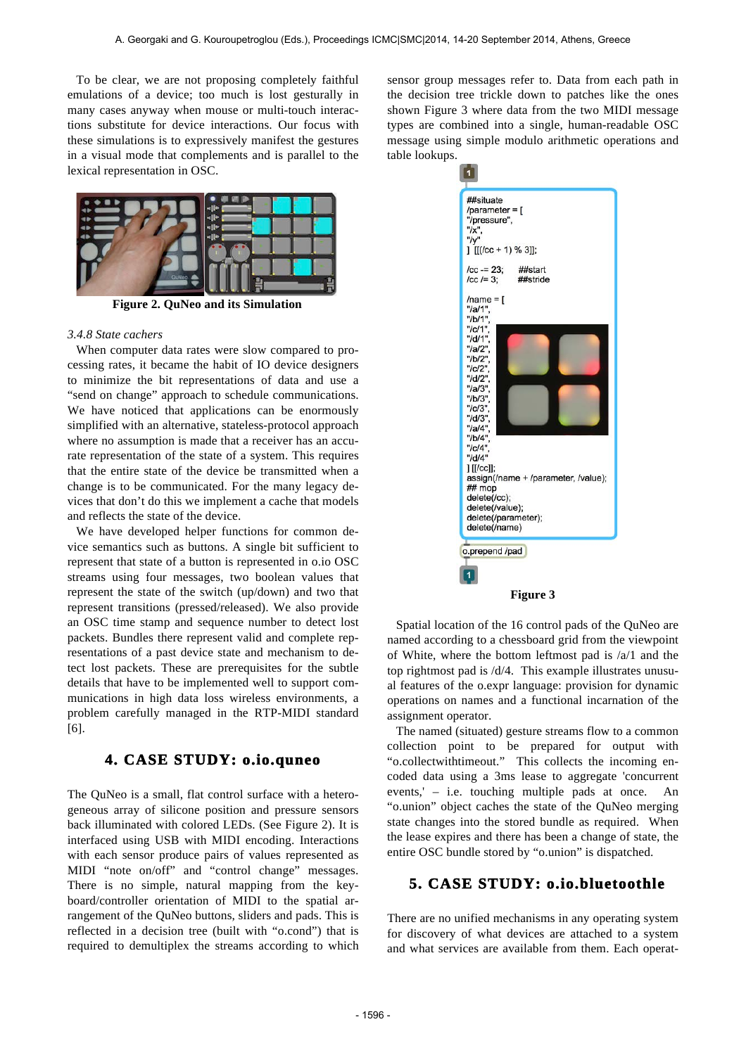To be clear, we are not proposing completely faithful emulations of a device; too much is lost gesturally in many cases anyway when mouse or multi-touch interactions substitute for device interactions. Our focus with these simulations is to expressively manifest the gestures in a visual mode that complements and is parallel to the lexical representation in OSC.



**Figure 2. QuNeo and its Simulation**

#### *3.4.8 State cachers*

When computer data rates were slow compared to processing rates, it became the habit of IO device designers to minimize the bit representations of data and use a "send on change" approach to schedule communications. We have noticed that applications can be enormously simplified with an alternative, stateless-protocol approach where no assumption is made that a receiver has an accurate representation of the state of a system. This requires that the entire state of the device be transmitted when a change is to be communicated. For the many legacy devices that don't do this we implement a cache that models and reflects the state of the device.

We have developed helper functions for common device semantics such as buttons. A single bit sufficient to represent that state of a button is represented in o.io OSC streams using four messages, two boolean values that represent the state of the switch (up/down) and two that represent transitions (pressed/released). We also provide an OSC time stamp and sequence number to detect lost packets. Bundles there represent valid and complete representations of a past device state and mechanism to detect lost packets. These are prerequisites for the subtle details that have to be implemented well to support communications in high data loss wireless environments, a problem carefully managed in the RTP-MIDI standard [6].

# **4. CASE STUDY: o.io.quneo**

The QuNeo is a small, flat control surface with a heterogeneous array of silicone position and pressure sensors back illuminated with colored LEDs. (See Figure 2). It is interfaced using USB with MIDI encoding. Interactions with each sensor produce pairs of values represented as MIDI "note on/off" and "control change" messages. There is no simple, natural mapping from the keyboard/controller orientation of MIDI to the spatial arrangement of the QuNeo buttons, sliders and pads. This is reflected in a decision tree (built with "o.cond") that is required to demultiplex the streams according to which sensor group messages refer to. Data from each path in the decision tree trickle down to patches like the ones shown Figure 3 where data from the two MIDI message types are combined into a single, human-readable OSC message using simple modulo arithmetic operations and table lookups.

n ##situate /parameter =  $[$ "/pressure".  $\frac{1}{2}$ "/y  $\iiint([/cc + 1) % 3]$ ;  $/CC = 23$ : ##start  $|ccc| = 3$ : ##stride  $/name =$ [  $"/a/1",$ <br>"/b/1", "/c/1",<br>"/d/1",  $"/a/2"$ "/b/2" " $|c/2$ " " $r/d/2$ " " $/ a/3"$ "/b/3"  $"$ / $C/3"$ "/d/3" "/a/4"<br>"/b/4"  $"$ / $C/4"$  $"$ /d/4" ] [[/cc]]; assign(/name + /parameter, /value); ## mop delete(/cc): delete(/value); delete(/parameter); delete(/name) o.prepend /pad  $\overline{1}$ **Figure 3**

Spatial location of the 16 control pads of the QuNeo are named according to a chessboard grid from the viewpoint of White, where the bottom leftmost pad is /a/1 and the top rightmost pad is /d/4. This example illustrates unusual features of the o.expr language: provision for dynamic operations on names and a functional incarnation of the assignment operator.

The named (situated) gesture streams flow to a common collection point to be prepared for output with "o.collectwithtimeout." This collects the incoming encoded data using a 3ms lease to aggregate 'concurrent events,' – i.e. touching multiple pads at once. An "o.union" object caches the state of the QuNeo merging state changes into the stored bundle as required. When the lease expires and there has been a change of state, the entire OSC bundle stored by "o.union" is dispatched.

# **5. CASE STUDY: o.io.bluetoothle**

There are no unified mechanisms in any operating system for discovery of what devices are attached to a system and what services are available from them. Each operat